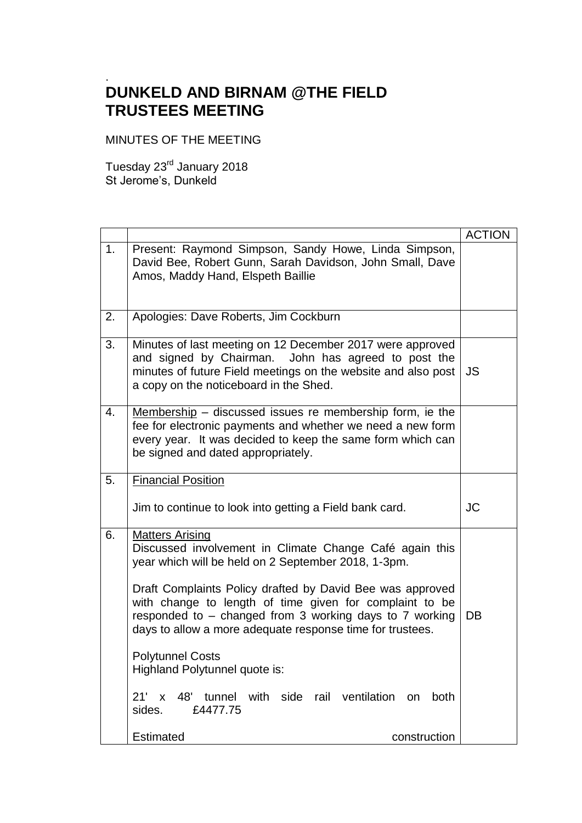## . **DUNKELD AND BIRNAM @THE FIELD TRUSTEES MEETING**

MINUTES OF THE MEETING

Tuesday 23<sup>rd</sup> January 2018 St Jerome's, Dunkeld

|    |                                                                                                                                                                                                                                                                                                                                                                                                                                                                                                                                                | <b>ACTION</b> |
|----|------------------------------------------------------------------------------------------------------------------------------------------------------------------------------------------------------------------------------------------------------------------------------------------------------------------------------------------------------------------------------------------------------------------------------------------------------------------------------------------------------------------------------------------------|---------------|
| 1. | Present: Raymond Simpson, Sandy Howe, Linda Simpson,<br>David Bee, Robert Gunn, Sarah Davidson, John Small, Dave<br>Amos, Maddy Hand, Elspeth Baillie                                                                                                                                                                                                                                                                                                                                                                                          |               |
| 2. | Apologies: Dave Roberts, Jim Cockburn                                                                                                                                                                                                                                                                                                                                                                                                                                                                                                          |               |
| 3. | Minutes of last meeting on 12 December 2017 were approved<br>and signed by Chairman. John has agreed to post the<br>minutes of future Field meetings on the website and also post<br>a copy on the noticeboard in the Shed.                                                                                                                                                                                                                                                                                                                    | JS.           |
| 4. | $Membership - discussed$ issues re membership form, ie the<br>fee for electronic payments and whether we need a new form<br>every year. It was decided to keep the same form which can<br>be signed and dated appropriately.                                                                                                                                                                                                                                                                                                                   |               |
| 5. | <b>Financial Position</b>                                                                                                                                                                                                                                                                                                                                                                                                                                                                                                                      |               |
|    | Jim to continue to look into getting a Field bank card.                                                                                                                                                                                                                                                                                                                                                                                                                                                                                        | <b>JC</b>     |
| 6. | <b>Matters Arising</b><br>Discussed involvement in Climate Change Café again this<br>year which will be held on 2 September 2018, 1-3pm.<br>Draft Complaints Policy drafted by David Bee was approved<br>with change to length of time given for complaint to be<br>responded to - changed from 3 working days to 7 working<br>days to allow a more adequate response time for trustees.<br><b>Polytunnel Costs</b><br>Highland Polytunnel quote is:<br>48' tunnel with side rail ventilation on<br>$21' \times$<br>both<br>sides.<br>£4477.75 | DB            |
|    | <b>Estimated</b><br>construction                                                                                                                                                                                                                                                                                                                                                                                                                                                                                                               |               |